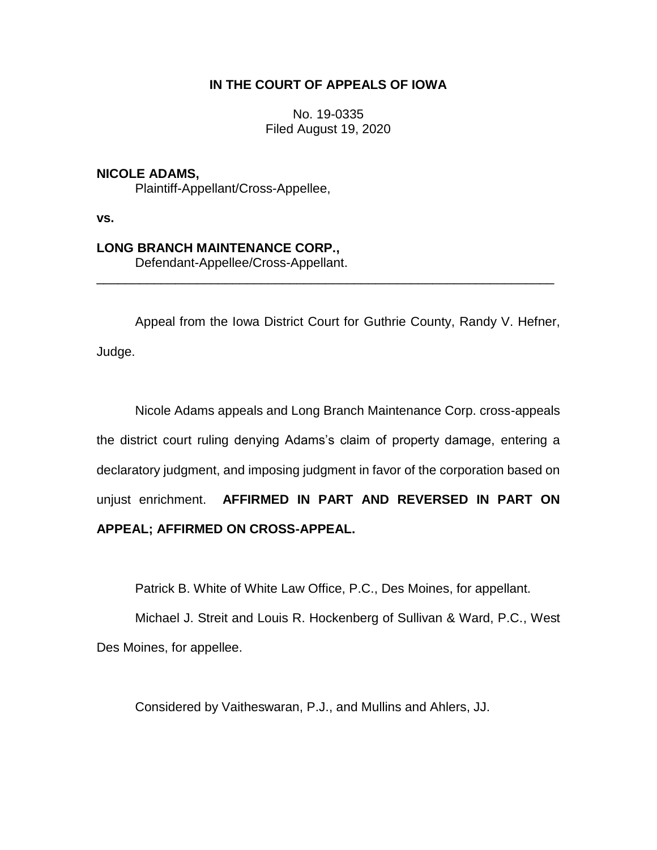# **IN THE COURT OF APPEALS OF IOWA**

No. 19-0335 Filed August 19, 2020

# **NICOLE ADAMS,**

Plaintiff-Appellant/Cross-Appellee,

**vs.**

# **LONG BRANCH MAINTENANCE CORP.,**

Defendant-Appellee/Cross-Appellant.

Appeal from the Iowa District Court for Guthrie County, Randy V. Hefner, Judge.

\_\_\_\_\_\_\_\_\_\_\_\_\_\_\_\_\_\_\_\_\_\_\_\_\_\_\_\_\_\_\_\_\_\_\_\_\_\_\_\_\_\_\_\_\_\_\_\_\_\_\_\_\_\_\_\_\_\_\_\_\_\_\_\_

Nicole Adams appeals and Long Branch Maintenance Corp. cross-appeals the district court ruling denying Adams's claim of property damage, entering a declaratory judgment, and imposing judgment in favor of the corporation based on unjust enrichment. **AFFIRMED IN PART AND REVERSED IN PART ON APPEAL; AFFIRMED ON CROSS-APPEAL.**

Patrick B. White of White Law Office, P.C., Des Moines, for appellant.

Michael J. Streit and Louis R. Hockenberg of Sullivan & Ward, P.C., West Des Moines, for appellee.

Considered by Vaitheswaran, P.J., and Mullins and Ahlers, JJ.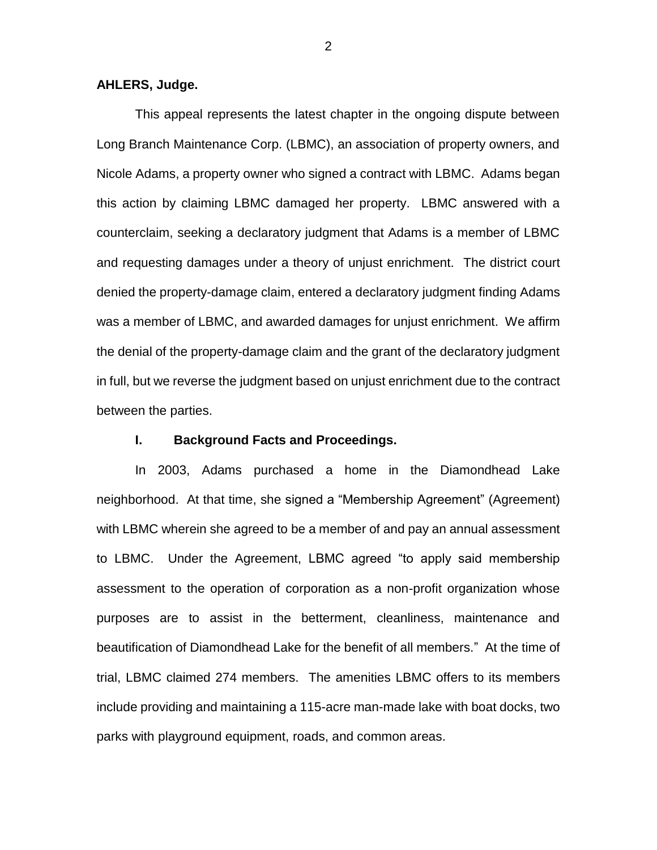#### **AHLERS, Judge.**

This appeal represents the latest chapter in the ongoing dispute between Long Branch Maintenance Corp. (LBMC), an association of property owners, and Nicole Adams, a property owner who signed a contract with LBMC. Adams began this action by claiming LBMC damaged her property. LBMC answered with a counterclaim, seeking a declaratory judgment that Adams is a member of LBMC and requesting damages under a theory of unjust enrichment. The district court denied the property-damage claim, entered a declaratory judgment finding Adams was a member of LBMC, and awarded damages for unjust enrichment. We affirm the denial of the property-damage claim and the grant of the declaratory judgment in full, but we reverse the judgment based on unjust enrichment due to the contract between the parties.

## **I. Background Facts and Proceedings.**

In 2003, Adams purchased a home in the Diamondhead Lake neighborhood. At that time, she signed a "Membership Agreement" (Agreement) with LBMC wherein she agreed to be a member of and pay an annual assessment to LBMC. Under the Agreement, LBMC agreed "to apply said membership assessment to the operation of corporation as a non-profit organization whose purposes are to assist in the betterment, cleanliness, maintenance and beautification of Diamondhead Lake for the benefit of all members." At the time of trial, LBMC claimed 274 members. The amenities LBMC offers to its members include providing and maintaining a 115-acre man-made lake with boat docks, two parks with playground equipment, roads, and common areas.

2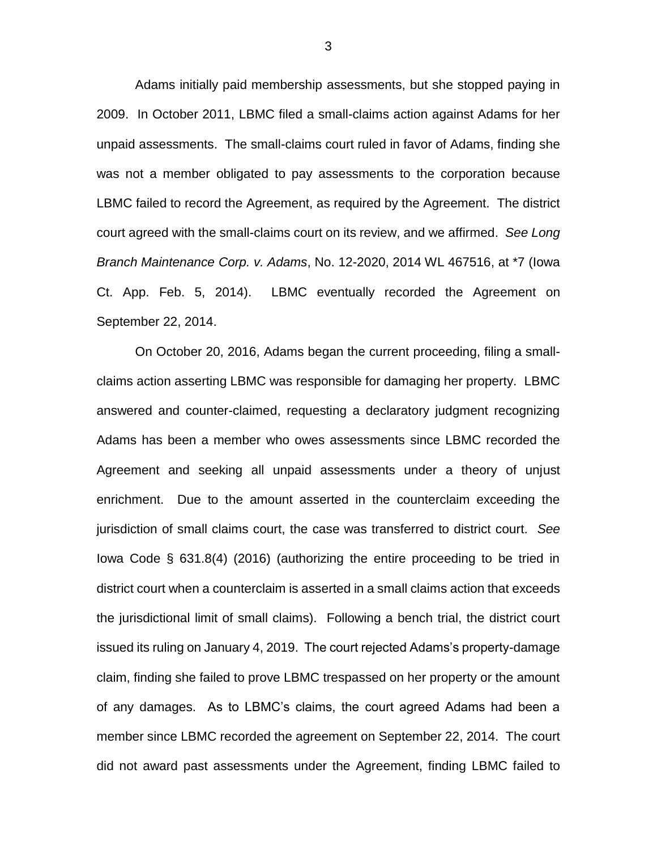Adams initially paid membership assessments, but she stopped paying in 2009. In October 2011, LBMC filed a small-claims action against Adams for her unpaid assessments. The small-claims court ruled in favor of Adams, finding she was not a member obligated to pay assessments to the corporation because LBMC failed to record the Agreement, as required by the Agreement. The district court agreed with the small-claims court on its review, and we affirmed. *See Long Branch Maintenance Corp. v. Adams*, No. 12-2020, 2014 WL 467516, at \*7 (Iowa Ct. App. Feb. 5, 2014). LBMC eventually recorded the Agreement on September 22, 2014.

On October 20, 2016, Adams began the current proceeding, filing a smallclaims action asserting LBMC was responsible for damaging her property. LBMC answered and counter-claimed, requesting a declaratory judgment recognizing Adams has been a member who owes assessments since LBMC recorded the Agreement and seeking all unpaid assessments under a theory of unjust enrichment. Due to the amount asserted in the counterclaim exceeding the jurisdiction of small claims court, the case was transferred to district court. *See*  Iowa Code § 631.8(4) (2016) (authorizing the entire proceeding to be tried in district court when a counterclaim is asserted in a small claims action that exceeds the jurisdictional limit of small claims). Following a bench trial, the district court issued its ruling on January 4, 2019. The court rejected Adams's property-damage claim, finding she failed to prove LBMC trespassed on her property or the amount of any damages. As to LBMC's claims, the court agreed Adams had been a member since LBMC recorded the agreement on September 22, 2014. The court did not award past assessments under the Agreement, finding LBMC failed to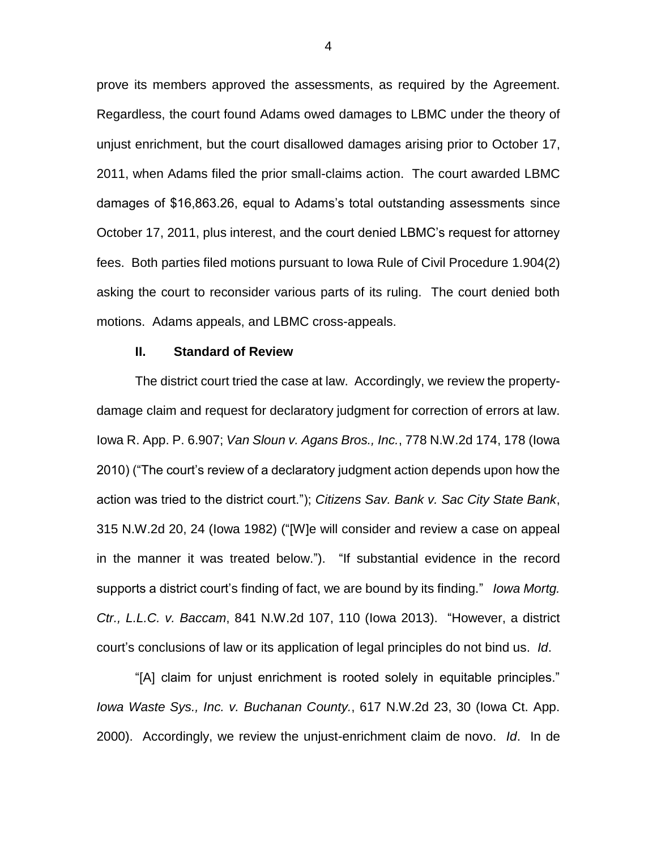prove its members approved the assessments, as required by the Agreement. Regardless, the court found Adams owed damages to LBMC under the theory of unjust enrichment, but the court disallowed damages arising prior to October 17, 2011, when Adams filed the prior small-claims action. The court awarded LBMC damages of \$16,863.26, equal to Adams's total outstanding assessments since October 17, 2011, plus interest, and the court denied LBMC's request for attorney fees. Both parties filed motions pursuant to Iowa Rule of Civil Procedure 1.904(2) asking the court to reconsider various parts of its ruling. The court denied both motions. Adams appeals, and LBMC cross-appeals.

#### **II. Standard of Review**

The district court tried the case at law. Accordingly, we review the propertydamage claim and request for declaratory judgment for correction of errors at law. Iowa R. App. P. 6.907; *Van Sloun v. Agans Bros., Inc.*, 778 N.W.2d 174, 178 (Iowa 2010) ("The court's review of a declaratory judgment action depends upon how the action was tried to the district court."); *Citizens Sav. Bank v. Sac City State Bank*, 315 N.W.2d 20, 24 (Iowa 1982) ("[W]e will consider and review a case on appeal in the manner it was treated below."). "If substantial evidence in the record supports a district court's finding of fact, we are bound by its finding." *Iowa Mortg. Ctr., L.L.C. v. Baccam*, 841 N.W.2d 107, 110 (Iowa 2013). "However, a district court's conclusions of law or its application of legal principles do not bind us. *Id*.

"[A] claim for unjust enrichment is rooted solely in equitable principles." *Iowa Waste Sys., Inc. v. Buchanan County.*, 617 N.W.2d 23, 30 (Iowa Ct. App. 2000). Accordingly, we review the unjust-enrichment claim de novo. *Id*. In de

4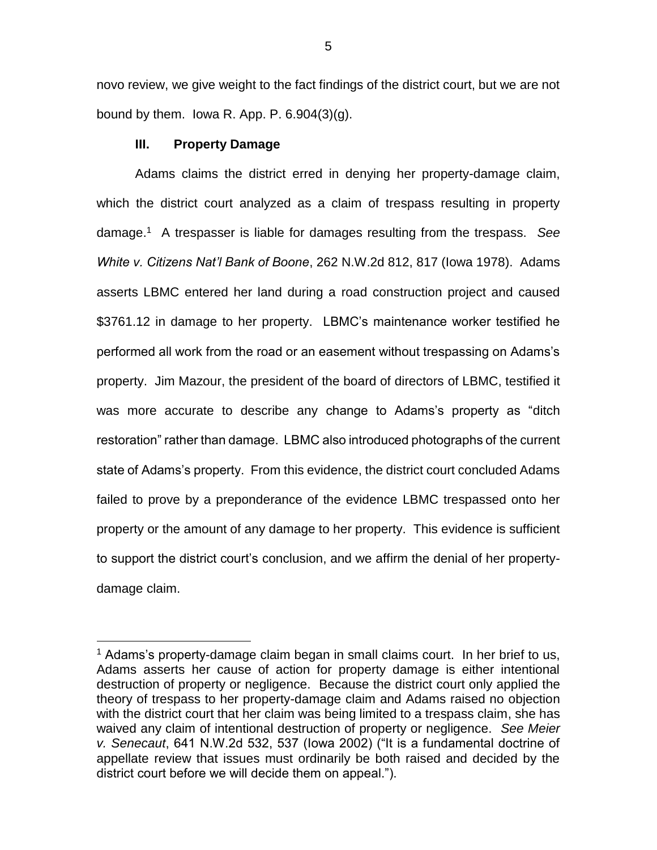novo review, we give weight to the fact findings of the district court, but we are not bound by them. lowa R. App. P.  $6.904(3)(g)$ .

### **III. Property Damage**

 $\overline{a}$ 

Adams claims the district erred in denying her property-damage claim, which the district court analyzed as a claim of trespass resulting in property damage.<sup>1</sup> A trespasser is liable for damages resulting from the trespass. *See White v. Citizens Nat'l Bank of Boone*, 262 N.W.2d 812, 817 (Iowa 1978). Adams asserts LBMC entered her land during a road construction project and caused \$3761.12 in damage to her property. LBMC's maintenance worker testified he performed all work from the road or an easement without trespassing on Adams's property. Jim Mazour, the president of the board of directors of LBMC, testified it was more accurate to describe any change to Adams's property as "ditch restoration" rather than damage. LBMC also introduced photographs of the current state of Adams's property. From this evidence, the district court concluded Adams failed to prove by a preponderance of the evidence LBMC trespassed onto her property or the amount of any damage to her property. This evidence is sufficient to support the district court's conclusion, and we affirm the denial of her propertydamage claim.

 $1$  Adams's property-damage claim began in small claims court. In her brief to us, Adams asserts her cause of action for property damage is either intentional destruction of property or negligence. Because the district court only applied the theory of trespass to her property-damage claim and Adams raised no objection with the district court that her claim was being limited to a trespass claim, she has waived any claim of intentional destruction of property or negligence. *See Meier v. Senecaut*, 641 N.W.2d 532, 537 (Iowa 2002) ("It is a fundamental doctrine of appellate review that issues must ordinarily be both raised and decided by the district court before we will decide them on appeal.").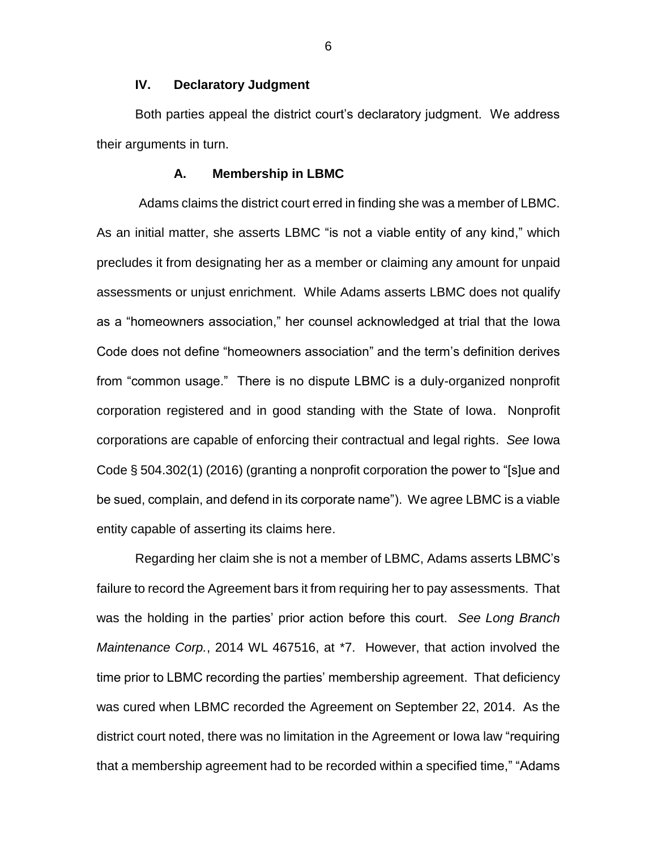# **IV. Declaratory Judgment**

Both parties appeal the district court's declaratory judgment. We address their arguments in turn.

#### **A. Membership in LBMC**

Adams claims the district court erred in finding she was a member of LBMC. As an initial matter, she asserts LBMC "is not a viable entity of any kind," which precludes it from designating her as a member or claiming any amount for unpaid assessments or unjust enrichment. While Adams asserts LBMC does not qualify as a "homeowners association," her counsel acknowledged at trial that the Iowa Code does not define "homeowners association" and the term's definition derives from "common usage." There is no dispute LBMC is a duly-organized nonprofit corporation registered and in good standing with the State of Iowa. Nonprofit corporations are capable of enforcing their contractual and legal rights. *See* Iowa Code § 504.302(1) (2016) (granting a nonprofit corporation the power to "[s]ue and be sued, complain, and defend in its corporate name"). We agree LBMC is a viable entity capable of asserting its claims here.

Regarding her claim she is not a member of LBMC, Adams asserts LBMC's failure to record the Agreement bars it from requiring her to pay assessments. That was the holding in the parties' prior action before this court. *See Long Branch Maintenance Corp.*, 2014 WL 467516, at \*7. However, that action involved the time prior to LBMC recording the parties' membership agreement. That deficiency was cured when LBMC recorded the Agreement on September 22, 2014. As the district court noted, there was no limitation in the Agreement or Iowa law "requiring that a membership agreement had to be recorded within a specified time," "Adams

6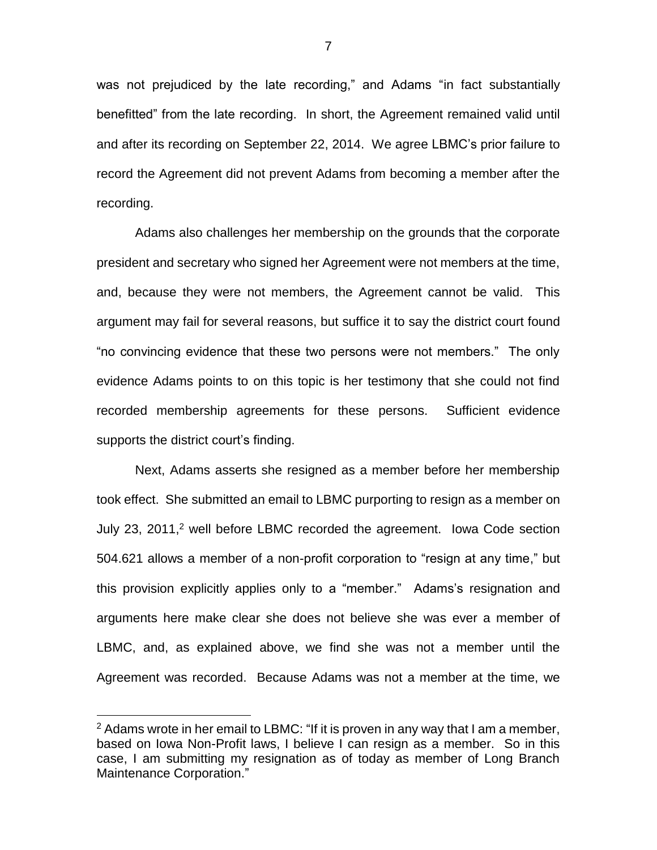was not prejudiced by the late recording," and Adams "in fact substantially benefitted" from the late recording. In short, the Agreement remained valid until and after its recording on September 22, 2014. We agree LBMC's prior failure to record the Agreement did not prevent Adams from becoming a member after the recording.

Adams also challenges her membership on the grounds that the corporate president and secretary who signed her Agreement were not members at the time, and, because they were not members, the Agreement cannot be valid. This argument may fail for several reasons, but suffice it to say the district court found "no convincing evidence that these two persons were not members." The only evidence Adams points to on this topic is her testimony that she could not find recorded membership agreements for these persons. Sufficient evidence supports the district court's finding.

Next, Adams asserts she resigned as a member before her membership took effect. She submitted an email to LBMC purporting to resign as a member on July 23, 2011,<sup>2</sup> well before LBMC recorded the agreement. Iowa Code section 504.621 allows a member of a non-profit corporation to "resign at any time," but this provision explicitly applies only to a "member." Adams's resignation and arguments here make clear she does not believe she was ever a member of LBMC, and, as explained above, we find she was not a member until the Agreement was recorded. Because Adams was not a member at the time, we

 $\overline{a}$ 

 $2$  Adams wrote in her email to LBMC: "If it is proven in any way that I am a member, based on Iowa Non-Profit laws, I believe I can resign as a member. So in this case, I am submitting my resignation as of today as member of Long Branch Maintenance Corporation."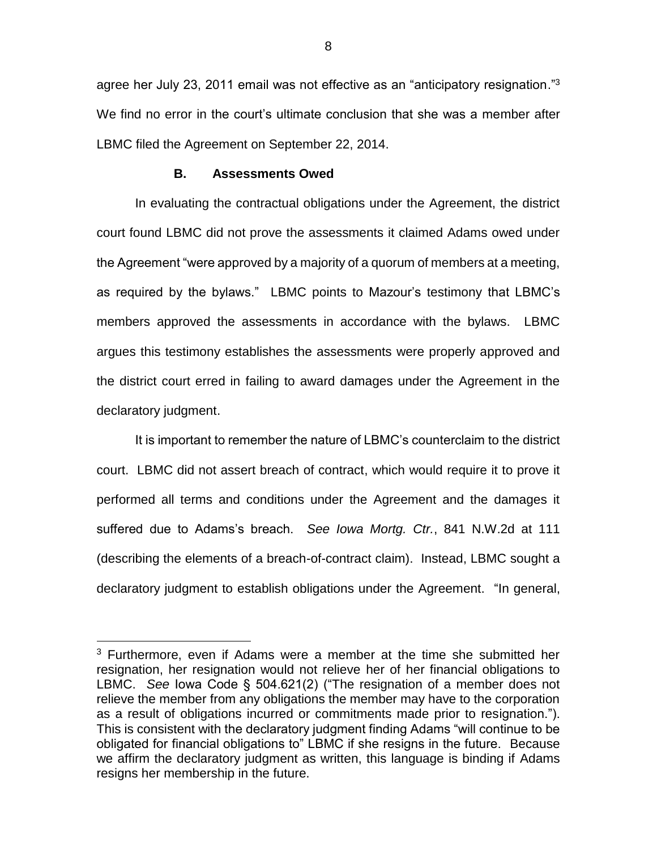agree her July 23, 2011 email was not effective as an "anticipatory resignation."<sup>3</sup> We find no error in the court's ultimate conclusion that she was a member after LBMC filed the Agreement on September 22, 2014.

#### **B. Assessments Owed**

In evaluating the contractual obligations under the Agreement, the district court found LBMC did not prove the assessments it claimed Adams owed under the Agreement "were approved by a majority of a quorum of members at a meeting, as required by the bylaws." LBMC points to Mazour's testimony that LBMC's members approved the assessments in accordance with the bylaws. LBMC argues this testimony establishes the assessments were properly approved and the district court erred in failing to award damages under the Agreement in the declaratory judgment.

It is important to remember the nature of LBMC's counterclaim to the district court. LBMC did not assert breach of contract, which would require it to prove it performed all terms and conditions under the Agreement and the damages it suffered due to Adams's breach. *See Iowa Mortg. Ctr.*, 841 N.W.2d at 111 (describing the elements of a breach-of-contract claim). Instead, LBMC sought a declaratory judgment to establish obligations under the Agreement. "In general,

 $\overline{a}$ 

<sup>&</sup>lt;sup>3</sup> Furthermore, even if Adams were a member at the time she submitted her resignation, her resignation would not relieve her of her financial obligations to LBMC. *See* Iowa Code § 504.621(2) ("The resignation of a member does not relieve the member from any obligations the member may have to the corporation as a result of obligations incurred or commitments made prior to resignation."). This is consistent with the declaratory judgment finding Adams "will continue to be obligated for financial obligations to" LBMC if she resigns in the future. Because we affirm the declaratory judgment as written, this language is binding if Adams resigns her membership in the future.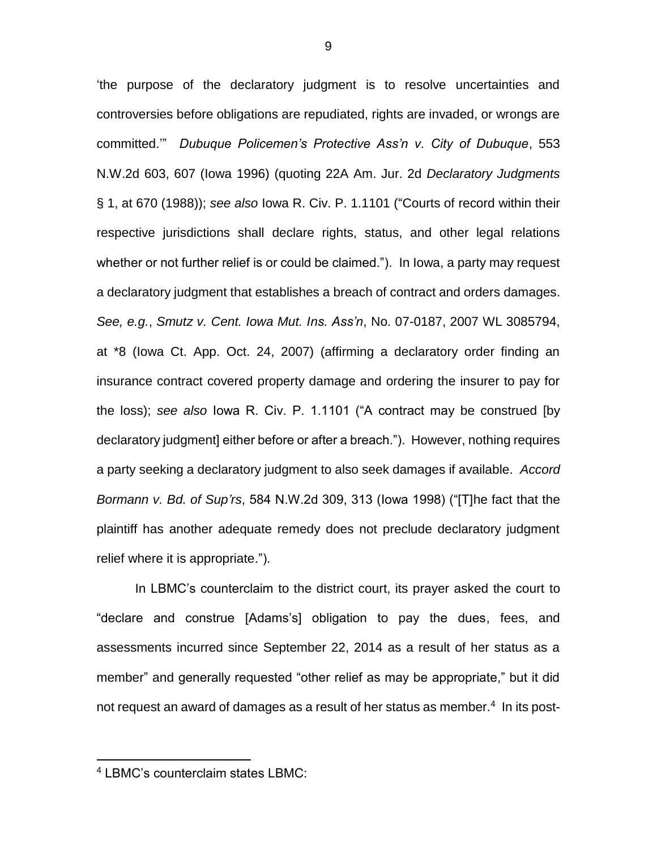'the purpose of the declaratory judgment is to resolve uncertainties and controversies before obligations are repudiated, rights are invaded, or wrongs are committed.'" *Dubuque Policemen's Protective Ass'n v. City of Dubuque*, 553 N.W.2d 603, 607 (Iowa 1996) (quoting 22A Am. Jur. 2d *Declaratory Judgments* § 1, at 670 (1988)); *see also* Iowa R. Civ. P. 1.1101 ("Courts of record within their respective jurisdictions shall declare rights, status, and other legal relations whether or not further relief is or could be claimed."). In Iowa, a party may request a declaratory judgment that establishes a breach of contract and orders damages. *See, e.g.*, *Smutz v. Cent. Iowa Mut. Ins. Ass'n*, No. 07-0187, 2007 WL 3085794, at \*8 (Iowa Ct. App. Oct. 24, 2007) (affirming a declaratory order finding an insurance contract covered property damage and ordering the insurer to pay for the loss); *see also* Iowa R. Civ. P. 1.1101 ("A contract may be construed [by declaratory judgment] either before or after a breach."). However, nothing requires a party seeking a declaratory judgment to also seek damages if available. *Accord Bormann v. Bd. of Sup'rs*, 584 N.W.2d 309, 313 (Iowa 1998) ("[T]he fact that the plaintiff has another adequate remedy does not preclude declaratory judgment relief where it is appropriate.").

In LBMC's counterclaim to the district court, its prayer asked the court to "declare and construe [Adams's] obligation to pay the dues, fees, and assessments incurred since September 22, 2014 as a result of her status as a member" and generally requested "other relief as may be appropriate," but it did not request an award of damages as a result of her status as member.<sup>4</sup> In its post-

 $\overline{a}$ 

<sup>4</sup> LBMC's counterclaim states LBMC: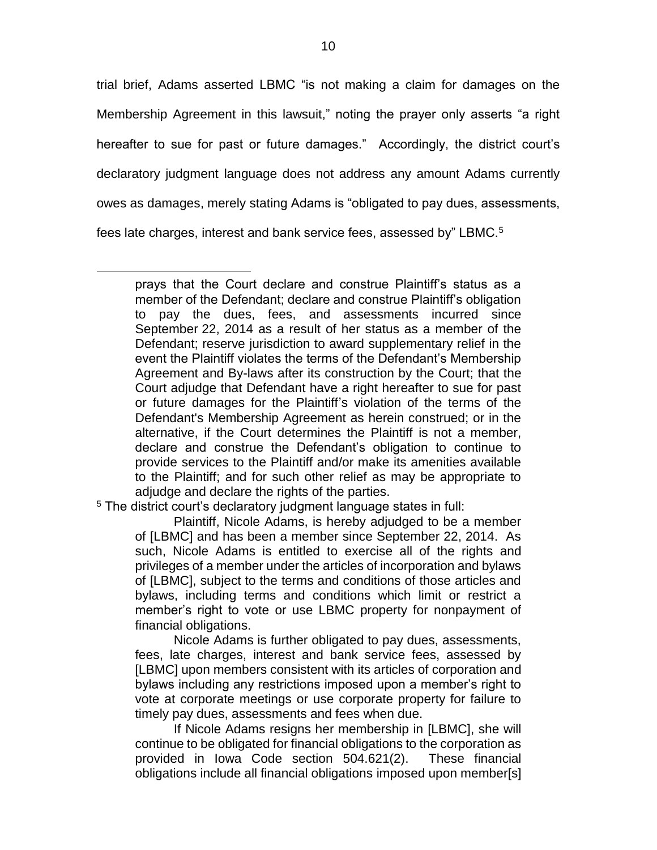trial brief, Adams asserted LBMC "is not making a claim for damages on the Membership Agreement in this lawsuit," noting the prayer only asserts "a right hereafter to sue for past or future damages." Accordingly, the district court's declaratory judgment language does not address any amount Adams currently owes as damages, merely stating Adams is "obligated to pay dues, assessments, fees late charges, interest and bank service fees, assessed by" LBMC.<sup>5</sup>

<sup>5</sup> The district court's declaratory judgment language states in full:

 $\overline{a}$ 

Plaintiff, Nicole Adams, is hereby adjudged to be a member of [LBMC] and has been a member since September 22, 2014. As such, Nicole Adams is entitled to exercise all of the rights and privileges of a member under the articles of incorporation and bylaws of [LBMC], subject to the terms and conditions of those articles and bylaws, including terms and conditions which limit or restrict a member's right to vote or use LBMC property for nonpayment of financial obligations.

Nicole Adams is further obligated to pay dues, assessments, fees, late charges, interest and bank service fees, assessed by [LBMC] upon members consistent with its articles of corporation and bylaws including any restrictions imposed upon a member's right to vote at corporate meetings or use corporate property for failure to timely pay dues, assessments and fees when due.

If Nicole Adams resigns her membership in [LBMC], she will continue to be obligated for financial obligations to the corporation as provided in Iowa Code section 504.621(2). These financial obligations include all financial obligations imposed upon member[s]

prays that the Court declare and construe Plaintiff's status as a member of the Defendant; declare and construe Plaintiff's obligation to pay the dues, fees, and assessments incurred since September 22, 2014 as a result of her status as a member of the Defendant; reserve jurisdiction to award supplementary relief in the event the Plaintiff violates the terms of the Defendant's Membership Agreement and By-laws after its construction by the Court; that the Court adjudge that Defendant have a right hereafter to sue for past or future damages for the Plaintiff's violation of the terms of the Defendant's Membership Agreement as herein construed; or in the alternative, if the Court determines the Plaintiff is not a member, declare and construe the Defendant's obligation to continue to provide services to the Plaintiff and/or make its amenities available to the Plaintiff; and for such other relief as may be appropriate to adjudge and declare the rights of the parties.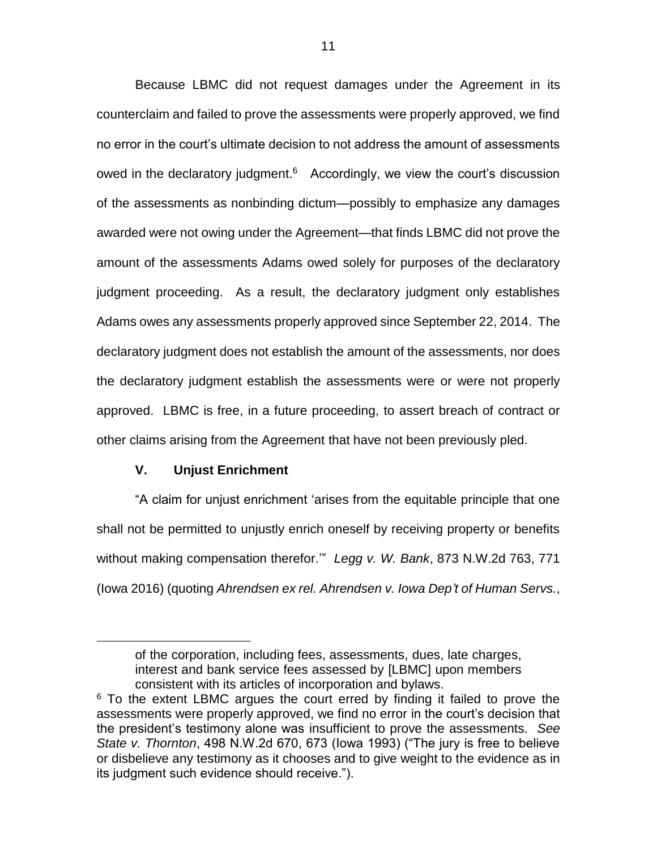Because LBMC did not request damages under the Agreement in its counterclaim and failed to prove the assessments were properly approved, we find no error in the court's ultimate decision to not address the amount of assessments owed in the declaratory judgment.<sup>6</sup> Accordingly, we view the court's discussion of the assessments as nonbinding dictum—possibly to emphasize any damages awarded were not owing under the Agreement—that finds LBMC did not prove the amount of the assessments Adams owed solely for purposes of the declaratory judgment proceeding. As a result, the declaratory judgment only establishes Adams owes any assessments properly approved since September 22, 2014. The declaratory judgment does not establish the amount of the assessments, nor does the declaratory judgment establish the assessments were or were not properly approved. LBMC is free, in a future proceeding, to assert breach of contract or other claims arising from the Agreement that have not been previously pled.

# **V. Unjust Enrichment**

 $\overline{a}$ 

"A claim for unjust enrichment 'arises from the equitable principle that one shall not be permitted to unjustly enrich oneself by receiving property or benefits without making compensation therefor.'" *Legg v. W. Bank*, 873 N.W.2d 763, 771 (Iowa 2016) (quoting *Ahrendsen ex rel. Ahrendsen v. Iowa Dep't of Human Servs.*,

of the corporation, including fees, assessments, dues, late charges, interest and bank service fees assessed by [LBMC] upon members consistent with its articles of incorporation and bylaws.

<sup>&</sup>lt;sup>6</sup> To the extent LBMC argues the court erred by finding it failed to prove the assessments were properly approved, we find no error in the court's decision that the president's testimony alone was insufficient to prove the assessments. *See State v. Thornton*, 498 N.W.2d 670, 673 (Iowa 1993) ("The jury is free to believe or disbelieve any testimony as it chooses and to give weight to the evidence as in its judgment such evidence should receive.").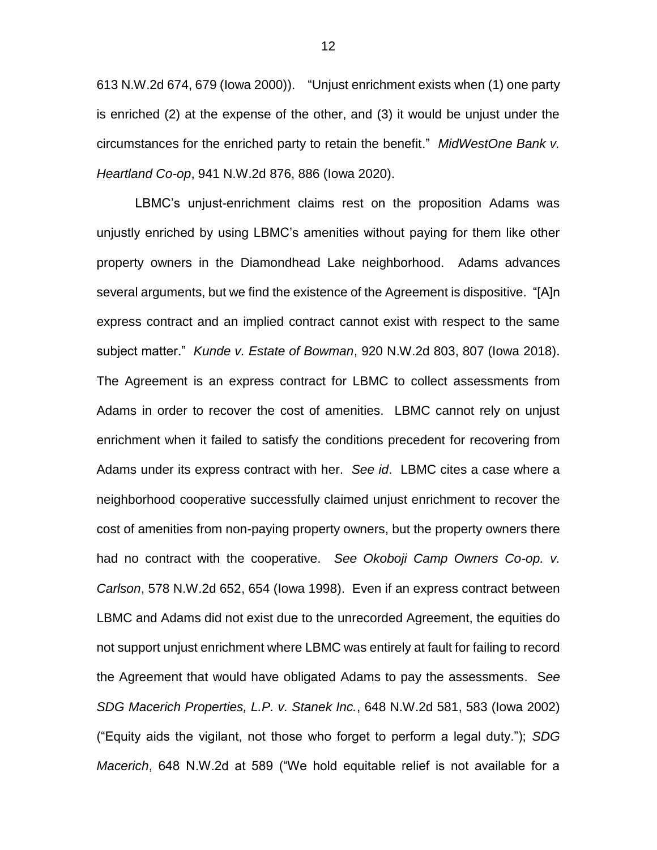613 N.W.2d 674, 679 (Iowa 2000)). "Unjust enrichment exists when (1) one party is enriched (2) at the expense of the other, and (3) it would be unjust under the circumstances for the enriched party to retain the benefit." *MidWestOne Bank v. Heartland Co-op*, 941 N.W.2d 876, 886 (Iowa 2020).

LBMC's unjust-enrichment claims rest on the proposition Adams was unjustly enriched by using LBMC's amenities without paying for them like other property owners in the Diamondhead Lake neighborhood. Adams advances several arguments, but we find the existence of the Agreement is dispositive. "[A]n express contract and an implied contract cannot exist with respect to the same subject matter." *Kunde v. Estate of Bowman*, 920 N.W.2d 803, 807 (Iowa 2018). The Agreement is an express contract for LBMC to collect assessments from Adams in order to recover the cost of amenities. LBMC cannot rely on unjust enrichment when it failed to satisfy the conditions precedent for recovering from Adams under its express contract with her. *See id*. LBMC cites a case where a neighborhood cooperative successfully claimed unjust enrichment to recover the cost of amenities from non-paying property owners, but the property owners there had no contract with the cooperative. *See Okoboji Camp Owners Co-op. v. Carlson*, 578 N.W.2d 652, 654 (Iowa 1998). Even if an express contract between LBMC and Adams did not exist due to the unrecorded Agreement, the equities do not support unjust enrichment where LBMC was entirely at fault for failing to record the Agreement that would have obligated Adams to pay the assessments. S*ee SDG Macerich Properties, L.P. v. Stanek Inc.*, 648 N.W.2d 581, 583 (Iowa 2002) ("Equity aids the vigilant, not those who forget to perform a legal duty."); *SDG Macerich*, 648 N.W.2d at 589 ("We hold equitable relief is not available for a